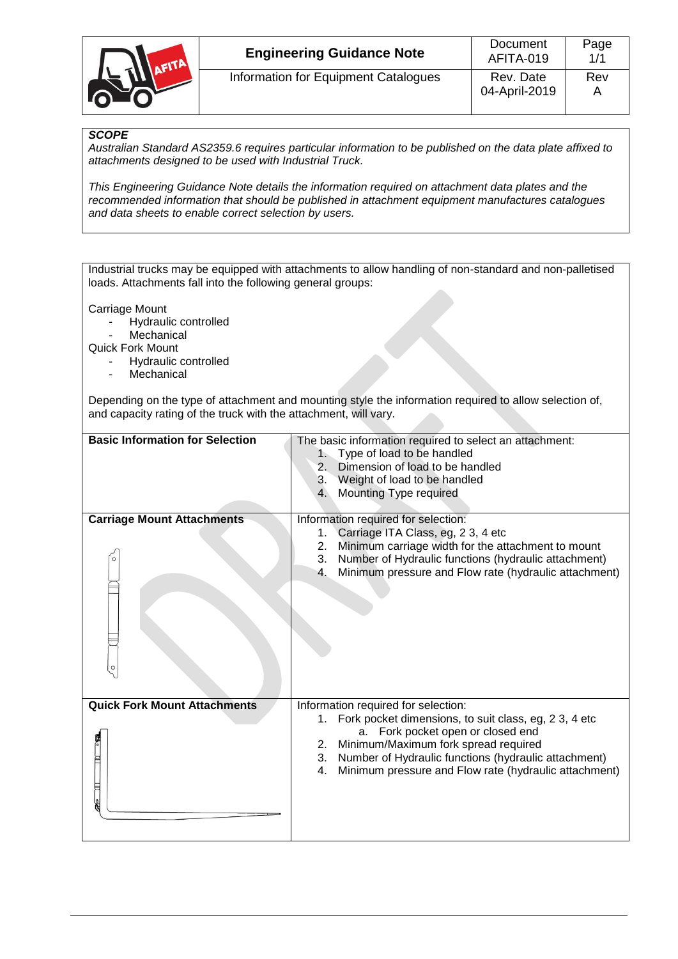

# *SCOPE*

*Australian Standard AS2359.6 requires particular information to be published on the data plate affixed to attachments designed to be used with Industrial Truck.*

*This Engineering Guidance Note details the information required on attachment data plates and the recommended information that should be published in attachment equipment manufactures catalogues and data sheets to enable correct selection by users.*

Industrial trucks may be equipped with attachments to allow handling of non-standard and non-palletised loads. Attachments fall into the following general groups:

Carriage Mount

- Hydraulic controlled
- Mechanical

Quick Fork Mount

- Hydraulic controlled
- Mechanical

Depending on the type of attachment and mounting style the information required to allow selection of, and capacity rating of the truck with the attachment, will vary.

| <b>Basic Information for Selection</b>   | The basic information required to select an attachment:<br>1. Type of load to be handled<br>2. Dimension of load to be handled<br>3. Weight of load to be handled<br>Mounting Type required<br>4.                                                                                                                  |
|------------------------------------------|--------------------------------------------------------------------------------------------------------------------------------------------------------------------------------------------------------------------------------------------------------------------------------------------------------------------|
| <b>Carriage Mount Attachments</b>        | Information required for selection:<br>Carriage ITA Class, eg, 2 3, 4 etc<br>1.<br>Minimum carriage width for the attachment to mount<br>2.<br>3.<br>Number of Hydraulic functions (hydraulic attachment)<br>Minimum pressure and Flow rate (hydraulic attachment)<br>4.                                           |
| <b>Quick Fork Mount Attachments</b><br>Ē | Information required for selection:<br>Fork pocket dimensions, to suit class, eg, 2 3, 4 etc<br>1.<br>Fork pocket open or closed end<br>a.<br>2. Minimum/Maximum fork spread required<br>Number of Hydraulic functions (hydraulic attachment)<br>3.<br>Minimum pressure and Flow rate (hydraulic attachment)<br>4. |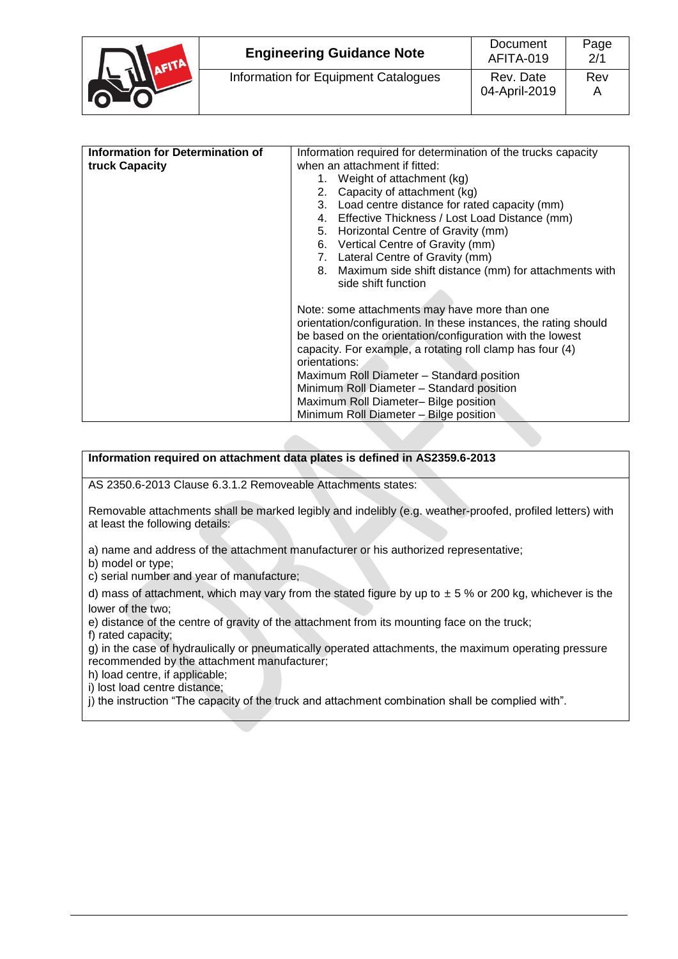

| Information for Determination of | Information required for determination of the trucks capacity    |  |
|----------------------------------|------------------------------------------------------------------|--|
| truck Capacity                   | when an attachment if fitted:                                    |  |
|                                  | 1. Weight of attachment (kg)                                     |  |
|                                  | 2. Capacity of attachment (kg)                                   |  |
|                                  | 3. Load centre distance for rated capacity (mm)                  |  |
|                                  | 4. Effective Thickness / Lost Load Distance (mm)                 |  |
|                                  | 5. Horizontal Centre of Gravity (mm)                             |  |
|                                  | 6. Vertical Centre of Gravity (mm)                               |  |
|                                  | 7. Lateral Centre of Gravity (mm)                                |  |
|                                  | 8. Maximum side shift distance (mm) for attachments with         |  |
|                                  | side shift function                                              |  |
|                                  |                                                                  |  |
|                                  | Note: some attachments may have more than one                    |  |
|                                  | orientation/configuration. In these instances, the rating should |  |
|                                  | be based on the orientation/configuration with the lowest        |  |
|                                  | capacity. For example, a rotating roll clamp has four (4)        |  |
|                                  | orientations:                                                    |  |
|                                  | Maximum Roll Diameter - Standard position                        |  |
|                                  | Minimum Roll Diameter - Standard position                        |  |
|                                  | Maximum Roll Diameter- Bilge position                            |  |
|                                  | Minimum Roll Diameter - Bilge position                           |  |
|                                  |                                                                  |  |

# **Information required on attachment data plates is defined in AS2359.6-2013**

AS 2350.6-2013 Clause 6.3.1.2 Removeable Attachments states:

Removable attachments shall be marked legibly and indelibly (e.g. weather-proofed, profiled letters) with at least the following details:

a) name and address of the attachment manufacturer or his authorized representative;

b) model or type;

c) serial number and year of manufacture;

d) mass of attachment, which may vary from the stated figure by up to  $\pm$  5 % or 200 kg, whichever is the lower of the two;

e) distance of the centre of gravity of the attachment from its mounting face on the truck;

f) rated capacity;

g) in the case of hydraulically or pneumatically operated attachments, the maximum operating pressure recommended by the attachment manufacturer;

h) load centre, if applicable;

i) lost load centre distance;

j) the instruction "The capacity of the truck and attachment combination shall be complied with".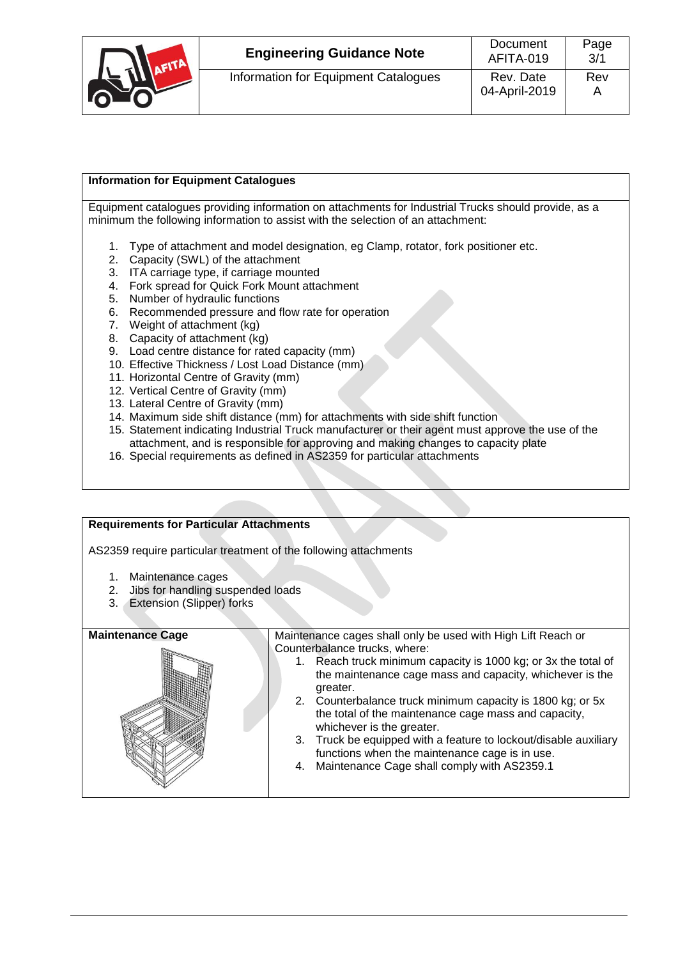|  | <b>Engineering Guidance Note</b>     | Document<br>AFITA-019      | Page<br>3/1 |
|--|--------------------------------------|----------------------------|-------------|
|  | Information for Equipment Catalogues | Rev. Date<br>04-April-2019 | Rev         |

# **Information for Equipment Catalogues**

Equipment catalogues providing information on attachments for Industrial Trucks should provide, as a minimum the following information to assist with the selection of an attachment:

- 1. Type of attachment and model designation, eg Clamp, rotator, fork positioner etc.
- 2. Capacity (SWL) of the attachment
- 3. ITA carriage type, if carriage mounted
- 4. Fork spread for Quick Fork Mount attachment
- 5. Number of hydraulic functions
- 6. Recommended pressure and flow rate for operation
- 7. Weight of attachment (kg)
- 8. Capacity of attachment (kg)
- 9. Load centre distance for rated capacity (mm)
- 10. Effective Thickness / Lost Load Distance (mm)
- 11. Horizontal Centre of Gravity (mm)
- 12. Vertical Centre of Gravity (mm)
- 13. Lateral Centre of Gravity (mm)
- 14. Maximum side shift distance (mm) for attachments with side shift function
- 15. Statement indicating Industrial Truck manufacturer or their agent must approve the use of the attachment, and is responsible for approving and making changes to capacity plate
- 16. Special requirements as defined in AS2359 for particular attachments

### **Requirements for Particular Attachments**

AS2359 require particular treatment of the following attachments

- 1. Maintenance cages
- 2. Jibs for handling suspended loads
- 3. Extension (Slipper) forks

**Maintenance Cage Maintenance cages shall only be used with High Lift Reach or** Counterbalance trucks, where:

- 1. Reach truck minimum capacity is 1000 kg; or 3x the total of the maintenance cage mass and capacity, whichever is the greater.
- 2. Counterbalance truck minimum capacity is 1800 kg; or 5x the total of the maintenance cage mass and capacity, whichever is the greater.
- 3. Truck be equipped with a feature to lockout/disable auxiliary functions when the maintenance cage is in use.
- 4. Maintenance Cage shall comply with AS2359.1